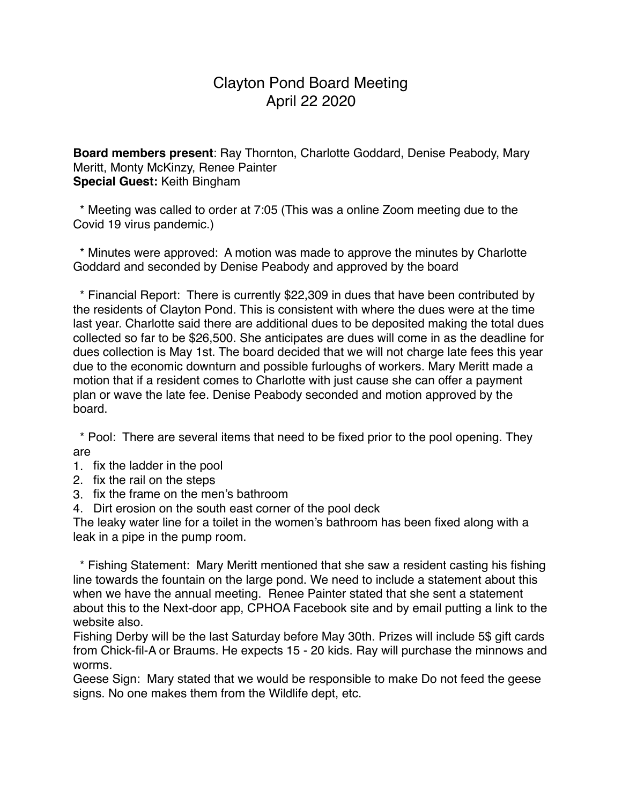## Clayton Pond Board Meeting April 22 2020

**Board members present**: Ray Thornton, Charlotte Goddard, Denise Peabody, Mary Meritt, Monty McKinzy, Renee Painter **Special Guest:** Keith Bingham

 \* Meeting was called to order at 7:05 (This was a online Zoom meeting due to the Covid 19 virus pandemic.)

 \* Minutes were approved: A motion was made to approve the minutes by Charlotte Goddard and seconded by Denise Peabody and approved by the board

 \* Financial Report: There is currently \$22,309 in dues that have been contributed by the residents of Clayton Pond. This is consistent with where the dues were at the time last year. Charlotte said there are additional dues to be deposited making the total dues collected so far to be \$26,500. She anticipates are dues will come in as the deadline for dues collection is May 1st. The board decided that we will not charge late fees this year due to the economic downturn and possible furloughs of workers. Mary Meritt made a motion that if a resident comes to Charlotte with just cause she can offer a payment plan or wave the late fee. Denise Peabody seconded and motion approved by the board.

 \* Pool: There are several items that need to be fixed prior to the pool opening. They are

- 1. fix the ladder in the pool
- 2. fix the rail on the steps
- 3. fix the frame on the men's bathroom
- 4. Dirt erosion on the south east corner of the pool deck

The leaky water line for a toilet in the women's bathroom has been fixed along with a leak in a pipe in the pump room.

 \* Fishing Statement: Mary Meritt mentioned that she saw a resident casting his fishing line towards the fountain on the large pond. We need to include a statement about this when we have the annual meeting. Renee Painter stated that she sent a statement about this to the Next-door app, CPHOA Facebook site and by email putting a link to the website also.

Fishing Derby will be the last Saturday before May 30th. Prizes will include 5\$ gift cards from Chick-fil-A or Braums. He expects 15 - 20 kids. Ray will purchase the minnows and worms.

Geese Sign: Mary stated that we would be responsible to make Do not feed the geese signs. No one makes them from the Wildlife dept, etc.